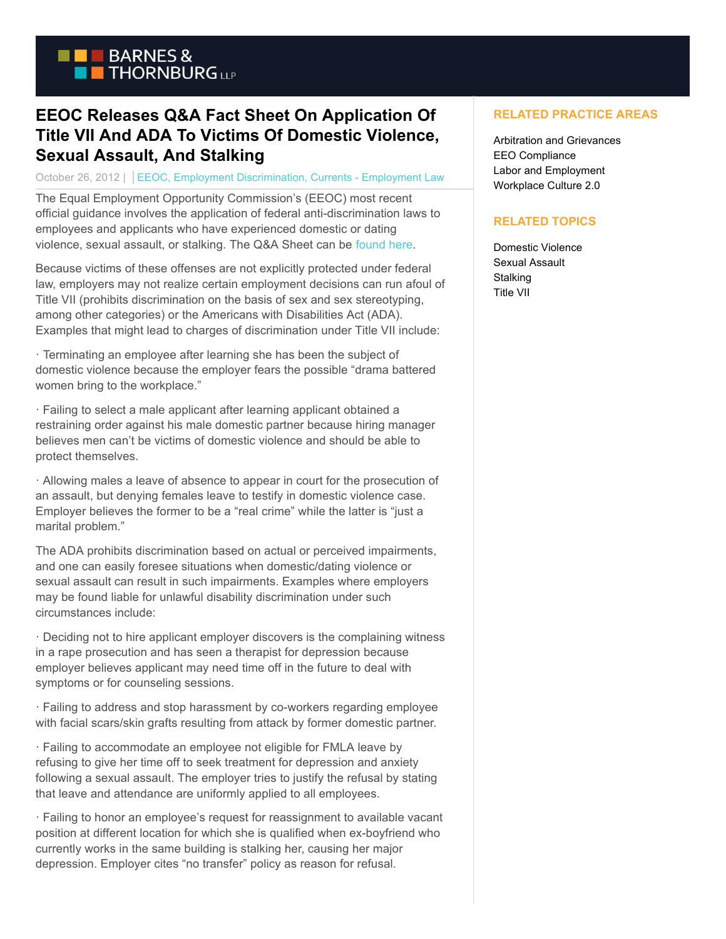

## **EEOC Releases Q&A Fact Sheet On Application Of Title VII And ADA To Victims Of Domestic Violence, Sexual Assault, And Stalking**

October 26, 2012 | EEOC, Employment Discrimination, Currents - Employment Law

The Equal Employment Opportunity Commission's (EEOC) most recent official guidance involves the application of federal anti-discrimination laws to employees and applicants who have experienced domestic or dating violence, sexual assault, or stalking. The Q&A Sheet can be [found here.](http://www1.eeoc.gov/eeoc/publications/upload/qa_domestic_violence.pdf)

Because victims of these offenses are not explicitly protected under federal law, employers may not realize certain employment decisions can run afoul of Title VII (prohibits discrimination on the basis of sex and sex stereotyping, among other categories) or the Americans with Disabilities Act (ADA). Examples that might lead to charges of discrimination under Title VII include:

· Terminating an employee after learning she has been the subject of domestic violence because the employer fears the possible "drama battered women bring to the workplace."

· Failing to select a male applicant after learning applicant obtained a restraining order against his male domestic partner because hiring manager believes men can't be victims of domestic violence and should be able to protect themselves.

· Allowing males a leave of absence to appear in court for the prosecution of an assault, but denying females leave to testify in domestic violence case. Employer believes the former to be a "real crime" while the latter is "just a marital problem."

The ADA prohibits discrimination based on actual or perceived impairments, and one can easily foresee situations when domestic/dating violence or sexual assault can result in such impairments. Examples where employers may be found liable for unlawful disability discrimination under such circumstances include:

· Deciding not to hire applicant employer discovers is the complaining witness in a rape prosecution and has seen a therapist for depression because employer believes applicant may need time off in the future to deal with symptoms or for counseling sessions.

· Failing to address and stop harassment by co-workers regarding employee with facial scars/skin grafts resulting from attack by former domestic partner.

· Failing to accommodate an employee not eligible for FMLA leave by refusing to give her time off to seek treatment for depression and anxiety following a sexual assault. The employer tries to justify the refusal by stating that leave and attendance are uniformly applied to all employees.

· Failing to honor an employee's request for reassignment to available vacant position at different location for which she is qualified when ex-boyfriend who currently works in the same building is stalking her, causing her major depression. Employer cites "no transfer" policy as reason for refusal.

## **RELATED PRACTICE AREAS**

Arbitration and Grievances EEO Compliance Labor and Employment Workplace Culture 2.0

## **RELATED TOPICS**

Domestic Violence Sexual Assault **Stalking** Title VII